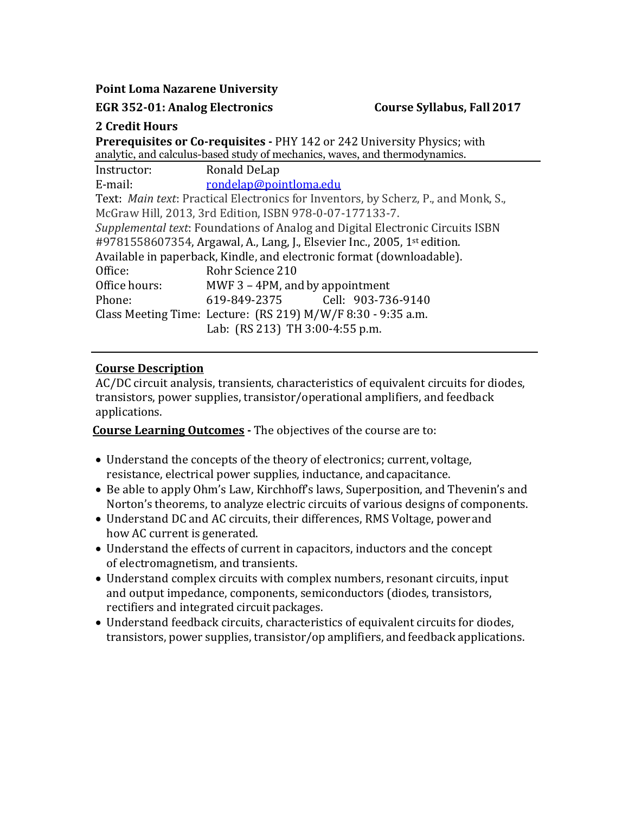**Point Loma Nazarene University**

**EGR 352-01: Analog Electronics Course Syllabus, Fall 2017**

## **2 Credit Hours**

**Prerequisites or Co-requisites -** PHY 142 or 242 University Physics; with analytic, and calculus-based study of mechanics, waves, and thermodynamics.

| Instructor:                                                                          | Ronald DeLap                       |  |  |  |
|--------------------------------------------------------------------------------------|------------------------------------|--|--|--|
| E-mail:                                                                              | rondelap@pointloma.edu             |  |  |  |
| Text: Main text: Practical Electronics for Inventors, by Scherz, P., and Monk, S.,   |                                    |  |  |  |
| McGraw Hill, 2013, 3rd Edition, ISBN 978-0-07-177133-7.                              |                                    |  |  |  |
| Supplemental text: Foundations of Analog and Digital Electronic Circuits ISBN        |                                    |  |  |  |
| #9781558607354, Argawal, A., Lang, J., Elsevier Inc., 2005, 1 <sup>st</sup> edition. |                                    |  |  |  |
| Available in paperback, Kindle, and electronic format (downloadable).                |                                    |  |  |  |
| Office:                                                                              | Rohr Science 210                   |  |  |  |
| Office hours:                                                                        | MWF $3 - 4$ PM, and by appointment |  |  |  |
| Phone:                                                                               | 619-849-2375 Cell: 903-736-9140    |  |  |  |
| Class Meeting Time: Lecture: (RS 219) M/W/F 8:30 - 9:35 a.m.                         |                                    |  |  |  |
|                                                                                      | Lab: (RS 213) TH 3:00-4:55 p.m.    |  |  |  |

# **Course Description**

AC/DC circuit analysis, transients, characteristics of equivalent circuits for diodes, transistors, power supplies, transistor/operational amplifiers, and feedback applications.

**Course Learning Outcomes -** The objectives of the course are to:

- Understand the concepts of the theory of electronics; current, voltage, resistance, electrical power supplies, inductance, andcapacitance.
- Be able to apply Ohm's Law, Kirchhoff's laws, Superposition, and Thevenin's and Norton's theorems, to analyze electric circuits of various designs of components.
- Understand DC and AC circuits, their differences, RMS Voltage, power and how AC current is generated.
- Understand the effects of current in capacitors, inductors and the concept of electromagnetism, and transients.
- Understand complex circuits with complex numbers, resonant circuits, input and output impedance, components, semiconductors (diodes, transistors, rectifiers and integrated circuit packages.
- Understand feedback circuits, characteristics of equivalent circuits for diodes, transistors, power supplies, transistor/op amplifiers, and feedback applications.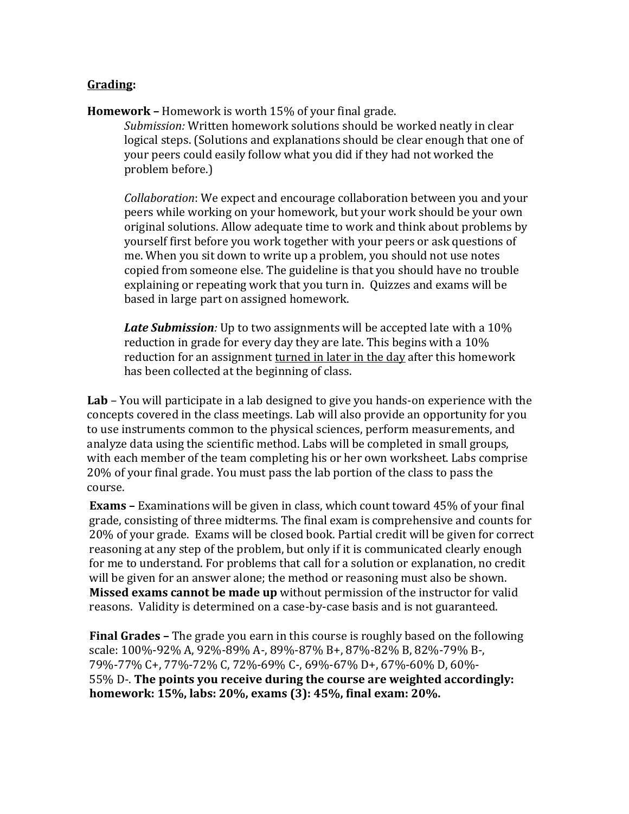#### **Grading:**

**Homework –** Homework is worth 15% of your final grade.

*Submission:* Written homework solutions should be worked neatly in clear logical steps. (Solutions and explanations should be clear enough that one of your peers could easily follow what you did if they had not worked the problem before.)

*Collaboration*: We expect and encourage collaboration between you and your peers while working on your homework, but your work should be your own original solutions. Allow adequate time to work and think about problems by yourself first before you work together with your peers or ask questions of me. When you sit down to write up a problem, you should not use notes copied from someone else. The guideline is that you should have no trouble explaining or repeating work that you turn in. Quizzes and exams will be based in large part on assigned homework.

*Late Submission:* Up to two assignments will be accepted late with a 10% reduction in grade for every day they are late. This begins with a 10% reduction for an assignment turned in later in the day after this homework has been collected at the beginning of class.

**Lab** *–* You will participate in a lab designed to give you hands-on experience with the concepts covered in the class meetings. Lab will also provide an opportunity for you to use instruments common to the physical sciences, perform measurements, and analyze data using the scientific method. Labs will be completed in small groups, with each member of the team completing his or her own worksheet. Labs comprise 20% of your final grade. You must pass the lab portion of the class to pass the course.

**Exams –** Examinations will be given in class, which count toward 45% of your final grade, consisting of three midterms. The final exam is comprehensive and counts for 20% of your grade. Exams will be closed book. Partial credit will be given for correct reasoning at any step of the problem, but only if it is communicated clearly enough for me to understand. For problems that call for a solution or explanation, no credit will be given for an answer alone; the method or reasoning must also be shown. **Missed exams cannot be made up** without permission of the instructor for valid reasons. Validity is determined on a case-by-case basis and is not guaranteed.

**Final Grades –** The grade you earn in this course is roughly based on the following scale: 100%-92% A, 92%-89% A-, 89%-87% B+, 87%-82% B, 82%-79% B-, 79%-77% C+, 77%-72% C, 72%-69% C-, 69%-67% D+, 67%-60% D, 60%- 55% D-. **The points you receive during the course are weighted accordingly: homework: 15%, labs: 20%, exams (3): 45%, final exam: 20%.**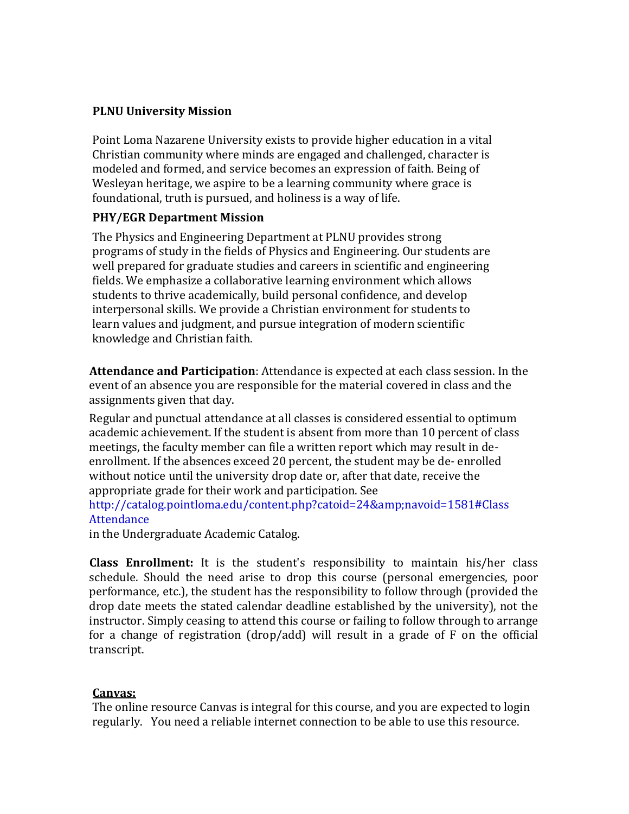#### **PLNU University Mission**

Point Loma Nazarene University exists to provide higher education in a vital Christian community where minds are engaged and challenged, character is modeled and formed, and service becomes an expression of faith. Being of Wesleyan heritage, we aspire to be a learning community where grace is foundational, truth is pursued, and holiness is a way of life.

#### **PHY/EGR Department Mission**

The Physics and Engineering Department at PLNU provides strong programs of study in the fields of Physics and Engineering. Our students are well prepared for graduate studies and careers in scientific and engineering fields. We emphasize a collaborative learning environment which allows students to thrive academically, build personal confidence, and develop interpersonal skills. We provide a Christian environment for students to learn values and judgment, and pursue integration of modern scientific knowledge and Christian faith.

**Attendance and Participation**: Attendance is expected at each class session. In the event of an absence you are responsible for the material covered in class and the assignments given that day.

Regular and punctual attendance at all classes is considered essential to optimum academic achievement. If the student is absent from more than 10 percent of class meetings, the faculty member can file a written report which may result in deenrollment. If the absences exceed 20 percent, the student may be de- enrolled without notice until the university drop date or, after that date, receive the appropriate grade for their work and participation. See

http://catalog.pointloma.edu/content.php?catoid=24&navoid=1581#Class Attendance

in the Undergraduate Academic Catalog.

**Class Enrollment:** It is the student's responsibility to maintain his/her class schedule. Should the need arise to drop this course (personal emergencies, poor performance, etc.), the student has the responsibility to follow through (provided the drop date meets the stated calendar deadline established by the university), not the instructor. Simply ceasing to attend this course or failing to follow through to arrange for a change of registration (drop/add) will result in a grade of F on the official transcript.

### **Canvas:**

The online resource Canvas is integral for this course, and you are expected to login regularly. You need a reliable internet connection to be able to use this resource.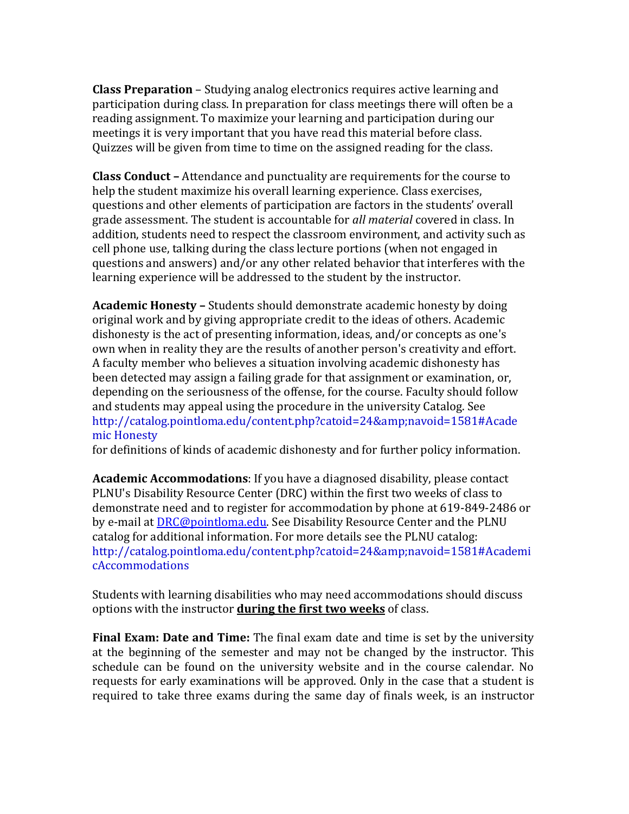**Class Preparation** – Studying analog electronics requires active learning and participation during class. In preparation for class meetings there will often be a reading assignment. To maximize your learning and participation during our meetings it is very important that you have read this material before class. Quizzes will be given from time to time on the assigned reading for the class.

**Class Conduct –** Attendance and punctuality are requirements for the course to help the student maximize his overall learning experience. Class exercises, questions and other elements of participation are factors in the students' overall grade assessment. The student is accountable for *all material* covered in class. In addition, students need to respect the classroom environment, and activity such as cell phone use, talking during the class lecture portions (when not engaged in questions and answers) and/or any other related behavior that interferes with the learning experience will be addressed to the student by the instructor.

**Academic Honesty –** Students should demonstrate academic honesty by doing original work and by giving appropriate credit to the ideas of others. Academic dishonesty is the act of presenting information, ideas, and/or concepts as one's own when in reality they are the results of another person's creativity and effort. A faculty member who believes a situation involving academic dishonesty has been detected may assign a failing grade for that assignment or examination, or, depending on the seriousness of the offense, for the course. Faculty should follow and students may appeal using the procedure in the university Catalog. See [http://catalog.pointloma.edu/content.php?catoid=24&navoid=1581#Acade](http://catalog.pointloma.edu/content.php?catoid=24&amp%3Bnavoid=1581&Academic) [mic H](http://catalog.pointloma.edu/content.php?catoid=24&amp%3Bnavoid=1581&Academic)onesty

for definitions of kinds of academic dishonesty and for further policy information.

**Academic Accommodations**: If you have a diagnosed disability, please contact PLNU's Disability Resource Center (DRC) within the first two weeks of class to demonstrate need and to register for accommodation by phone at 619-849-2486 or by e-mail a[t DRC@pointloma.edu.](mailto:DRC@pointloma.edu) See Disability Resource Center and the PLNU catalog for additional information. For more details see the PLNU catalog: [http://catalog.pointloma.edu/content.php?catoid=24&navoid=1581#Academi](http://catalog.pointloma.edu/content.php?catoid=24&amp%3Bnavoid=1581&AcademicAccommodations) [cAccommodations](http://catalog.pointloma.edu/content.php?catoid=24&amp%3Bnavoid=1581&AcademicAccommodations)

Students with learning disabilities who may need accommodations should discuss options with the instructor **during the first two weeks** of class.

**Final Exam: Date and Time:** The final exam date and time is set by the university at the beginning of the semester and may not be changed by the instructor. This schedule can be found on the university website and in the course calendar. No requests for early examinations will be approved. Only in the case that a student is required to take three exams during the same day of finals week, is an instructor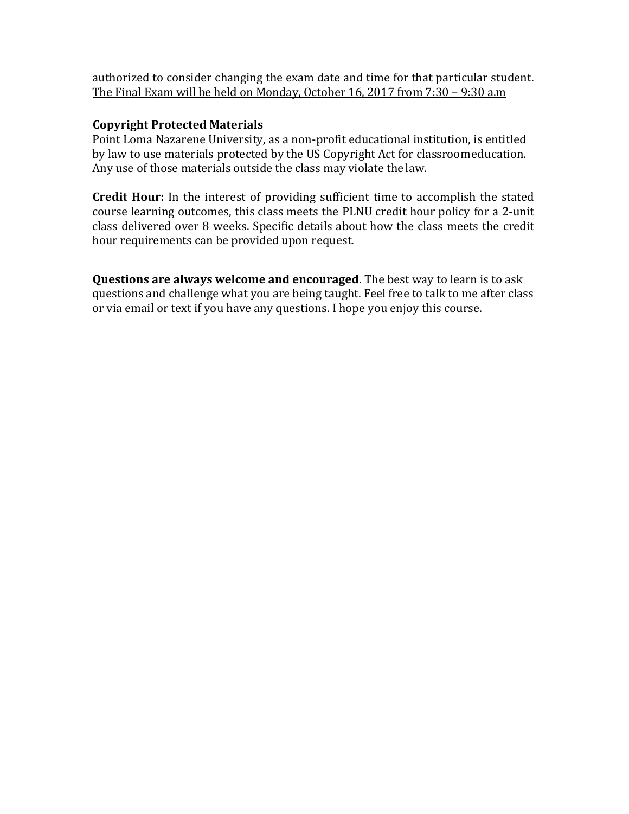authorized to consider changing the exam date and time for that particular student. The Final Exam will be held on Monday, October 16, 2017 from 7:30 – 9:30 a.m

## **Copyright Protected Materials**

Point Loma Nazarene University, as a non-profit educational institution, is entitled by law to use materials protected by the US Copyright Act for classroomeducation. Any use of those materials outside the class may violate the law.

**Credit Hour:** In the interest of providing sufficient time to accomplish the stated course learning outcomes, this class meets the PLNU credit hour policy for a 2-unit class delivered over 8 weeks. Specific details about how the class meets the credit hour requirements can be provided upon request.

**Questions are always welcome and encouraged**. The best way to learn is to ask questions and challenge what you are being taught. Feel free to talk to me after class or via email or text if you have any questions. I hope you enjoy this course.